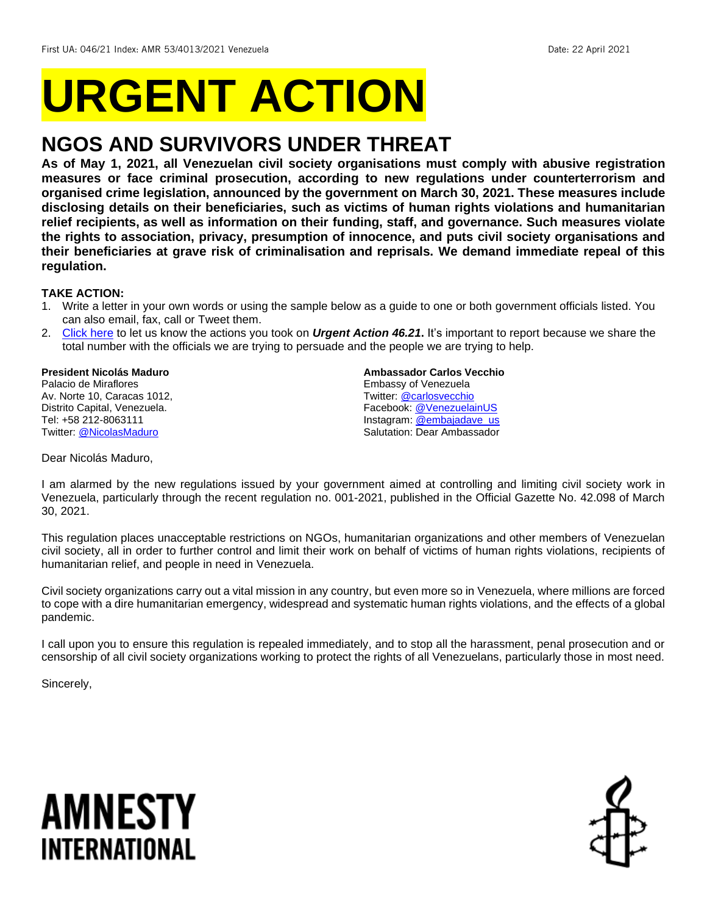# **URGENT ACTION**

## **NGOS AND SURVIVORS UNDER THREAT**

**As of May 1, 2021, all Venezuelan civil society organisations must comply with abusive registration measures or face criminal prosecution, according to new regulations under counterterrorism and organised crime legislation, announced by the government on March 30, 2021. These measures include disclosing details on their beneficiaries, such as victims of human rights violations and humanitarian relief recipients, as well as information on their funding, staff, and governance. Such measures violate the rights to association, privacy, presumption of innocence, and puts civil society organisations and their beneficiaries at grave risk of criminalisation and reprisals. We demand immediate repeal of this regulation.**

#### **TAKE ACTION:**

- 1. Write a letter in your own words or using the sample below as a guide to one or both government officials listed. You can also email, fax, call or Tweet them.
- 2. [Click here](https://www.amnestyusa.org/report-urgent-actions/) to let us know the actions you took on *Urgent Action 46.21***.** It's important to report because we share the total number with the officials we are trying to persuade and the people we are trying to help.

#### **President Nicolás Maduro** Palacio de Miraflores Av. Norte 10, Caracas 1012,

Distrito Capital, Venezuela. Tel: +58 212-8063111 Twitter: [@NicolasMaduro](https://twitter.com/nicolasmaduro)

#### **Ambassador Carlos Vecchio**

Embassy of Venezuela Twitter: [@carlosvecchio](https://twitter.com/carlosvecchio) Facebook[: @VenezuelainUS](https://www.facebook.com/VenezuelaInUS/) Instagram: [@embajadave\\_us](https://www.instagram.com/embajadave_usa/?hl=en) Salutation: Dear Ambassador

Dear Nicolás Maduro,

I am alarmed by the new regulations issued by your government aimed at controlling and limiting civil society work in Venezuela, particularly through the recent regulation no. 001-2021, published in the Official Gazette No. 42.098 of March 30, 2021.

This regulation places unacceptable restrictions on NGOs, humanitarian organizations and other members of Venezuelan civil society, all in order to further control and limit their work on behalf of victims of human rights violations, recipients of humanitarian relief, and people in need in Venezuela.

Civil society organizations carry out a vital mission in any country, but even more so in Venezuela, where millions are forced to cope with a dire humanitarian emergency, widespread and systematic human rights violations, and the effects of a global pandemic.

I call upon you to ensure this regulation is repealed immediately, and to stop all the harassment, penal prosecution and or censorship of all civil society organizations working to protect the rights of all Venezuelans, particularly those in most need.

Sincerely,